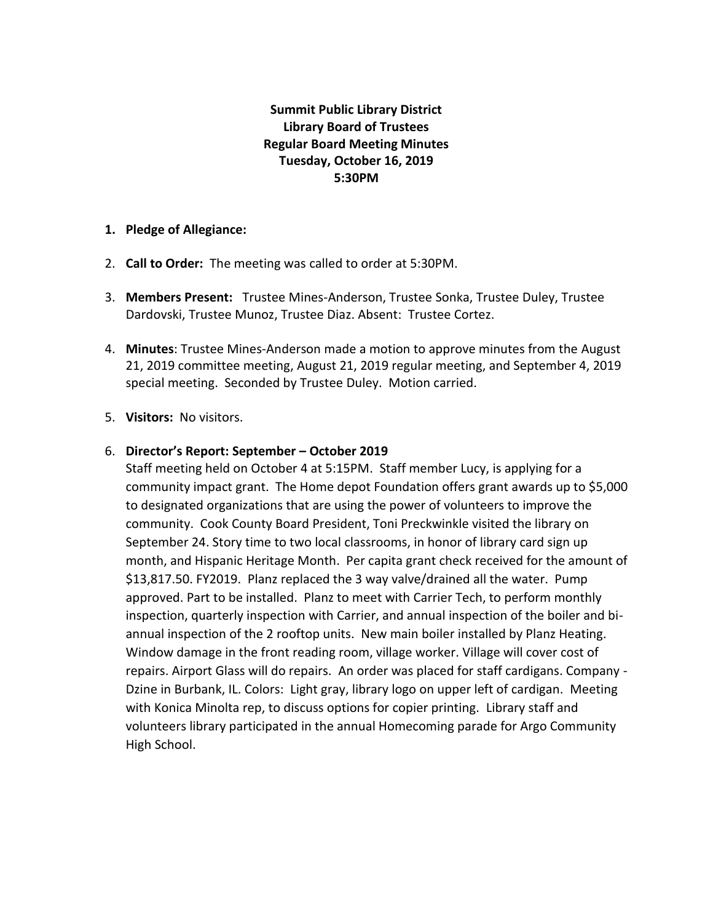# **Summit Public Library District Library Board of Trustees Regular Board Meeting Minutes Tuesday, October 16, 2019 5:30PM**

### **1. Pledge of Allegiance:**

- 2. **Call to Order:** The meeting was called to order at 5:30PM.
- 3. **Members Present:** Trustee Mines-Anderson, Trustee Sonka, Trustee Duley, Trustee Dardovski, Trustee Munoz, Trustee Diaz. Absent: Trustee Cortez.
- 4. **Minutes**: Trustee Mines-Anderson made a motion to approve minutes from the August 21, 2019 committee meeting, August 21, 2019 regular meeting, and September 4, 2019 special meeting. Seconded by Trustee Duley. Motion carried.
- 5. **Visitors:** No visitors.

# 6. **Director's Report: September – October 2019**

Staff meeting held on October 4 at 5:15PM. Staff member Lucy, is applying for a community impact grant. The Home depot Foundation offers grant awards up to \$5,000 to designated organizations that are using the power of volunteers to improve the community. Cook County Board President, Toni Preckwinkle visited the library on September 24. Story time to two local classrooms, in honor of library card sign up month, and Hispanic Heritage Month. Per capita grant check received for the amount of \$13,817.50. FY2019. Planz replaced the 3 way valve/drained all the water. Pump approved. Part to be installed. Planz to meet with Carrier Tech, to perform monthly inspection, quarterly inspection with Carrier, and annual inspection of the boiler and biannual inspection of the 2 rooftop units. New main boiler installed by Planz Heating. Window damage in the front reading room, village worker. Village will cover cost of repairs. Airport Glass will do repairs. An order was placed for staff cardigans. Company - Dzine in Burbank, IL. Colors: Light gray, library logo on upper left of cardigan. Meeting with Konica Minolta rep, to discuss options for copier printing. Library staff and volunteers library participated in the annual Homecoming parade for Argo Community High School.